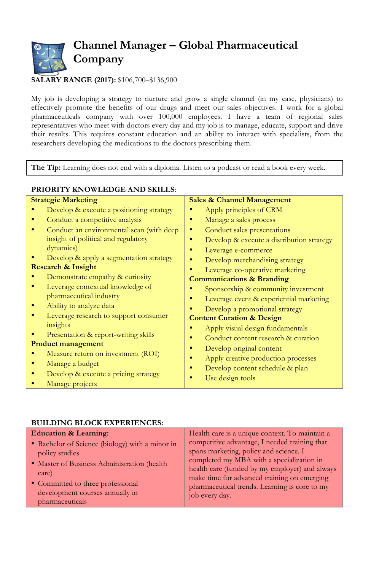

## **SALARY RANGE (2017):** \$106,700–\$136,900

**PRIORITY KNOWLEDGE AND SKILLS**:

My job is developing a strategy to nurture and grow a single channel (in my case, physicians) to effectively promote the benefits of our drugs and meet our sales objectives. I work for a global pharmaceuticals company with over 100,000 employees. I have a team of regional sales representatives who meet with doctors every day and my job is to manage, educate, support and drive their results. This requires constant education and an ability to interact with specialists, from the researchers developing the medications to the doctors prescribing them.

**The Tip:** Learning does not end with a diploma. Listen to a podcast or read a book every week.

| <b>Strategic Marketing</b>    |                                          | <b>Sales &amp; Channel Management</b>        |  |
|-------------------------------|------------------------------------------|----------------------------------------------|--|
|                               | Develop & execute a positioning strategy | Apply principles of CRM                      |  |
|                               | Conduct a competitive analysis           | Manage a sales process                       |  |
|                               | Conduct an environmental scan (with deep | Conduct sales presentations<br>٠             |  |
|                               | insight of political and regulatory      | Develop & execute a distribution strategy    |  |
|                               | dynamics)                                | Leverage e-commerce                          |  |
|                               | Develop & apply a segmentation strategy  | Develop merchandising strategy               |  |
| <b>Research &amp; Insight</b> |                                          | Leverage co-operative marketing              |  |
|                               | Demonstrate empathy & curiosity          | <b>Communications &amp; Branding</b>         |  |
|                               | Leverage contextual knowledge of         | Sponsorship & community investment           |  |
|                               | pharmaceutical industry                  | Leverage event & experiential marketing<br>۰ |  |
|                               | Ability to analyze data                  | Develop a promotional strategy               |  |
|                               | Leverage research to support consumer    | <b>Content Curation &amp; Design</b>         |  |
|                               | insights                                 | Apply visual design fundamentals             |  |
|                               | Presentation & report-writing skills     | Conduct content research & curation          |  |
| Product management            |                                          |                                              |  |
|                               | Measure return on investment (ROI)       | Develop original content                     |  |
|                               | Manage a budget                          | Apply creative production processes          |  |
|                               | Develop & execute a pricing strategy     | Develop content schedule & plan              |  |
|                               | Manage projects                          | Use design tools                             |  |

## **BUILDING BLOCK EXPERIENCES:**

| competitive advantage, I needed training that<br>• Bachelor of Science (biology) with a minor in<br>spans marketing, policy and science. I<br>policy studies<br>completed my MBA with a specialization in<br>• Master of Business Administration (health)<br>health care (funded by my employer) and always<br>care)<br>make time for advanced training on emerging | <b>Education &amp; Learning:</b>  | Health care is a unique context. To maintain a |
|---------------------------------------------------------------------------------------------------------------------------------------------------------------------------------------------------------------------------------------------------------------------------------------------------------------------------------------------------------------------|-----------------------------------|------------------------------------------------|
| development courses annually in<br>job every day.<br>pharmaceuticals                                                                                                                                                                                                                                                                                                | • Committed to three professional | pharmaceutical trends. Learning is core to my  |